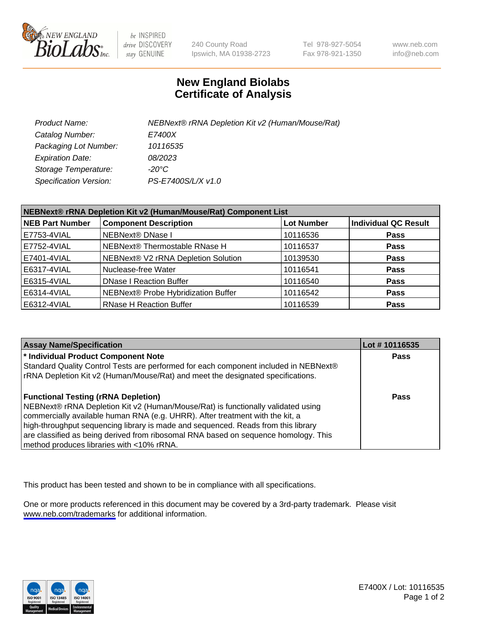

be INSPIRED drive DISCOVERY stay GENUINE

240 County Road Ipswich, MA 01938-2723 Tel 978-927-5054 Fax 978-921-1350

www.neb.com info@neb.com

## **New England Biolabs Certificate of Analysis**

| Product Name:           | NEBNext® rRNA Depletion Kit v2 (Human/Mouse/Rat) |
|-------------------------|--------------------------------------------------|
| Catalog Number:         | E7400X                                           |
| Packaging Lot Number:   | 10116535                                         |
| <b>Expiration Date:</b> | 08/2023                                          |
| Storage Temperature:    | -20°C                                            |
| Specification Version:  | PS-E7400S/L/X v1.0                               |

| NEBNext® rRNA Depletion Kit v2 (Human/Mouse/Rat) Component List |                                     |                   |                             |  |
|-----------------------------------------------------------------|-------------------------------------|-------------------|-----------------------------|--|
| <b>NEB Part Number</b>                                          | <b>Component Description</b>        | <b>Lot Number</b> | <b>Individual QC Result</b> |  |
| E7753-4VIAL                                                     | <b>NEBNext® DNase I</b>             | 10116536          | <b>Pass</b>                 |  |
| E7752-4VIAL                                                     | NEBNext® Thermostable RNase H       | 10116537          | <b>Pass</b>                 |  |
| E7401-4VIAL                                                     | NEBNext® V2 rRNA Depletion Solution | 10139530          | <b>Pass</b>                 |  |
| E6317-4VIAL                                                     | Nuclease-free Water                 | 10116541          | <b>Pass</b>                 |  |
| E6315-4VIAL                                                     | <b>DNase I Reaction Buffer</b>      | 10116540          | <b>Pass</b>                 |  |
| E6314-4VIAL                                                     | NEBNext® Probe Hybridization Buffer | 10116542          | <b>Pass</b>                 |  |
| E6312-4VIAL                                                     | <b>RNase H Reaction Buffer</b>      | 10116539          | <b>Pass</b>                 |  |

| <b>Assay Name/Specification</b>                                                      | Lot # 10116535 |
|--------------------------------------------------------------------------------------|----------------|
| * Individual Product Component Note                                                  | <b>Pass</b>    |
| Standard Quality Control Tests are performed for each component included in NEBNext® |                |
| rRNA Depletion Kit v2 (Human/Mouse/Rat) and meet the designated specifications.      |                |
| <b>Functional Testing (rRNA Depletion)</b>                                           | Pass           |
| NEBNext® rRNA Depletion Kit v2 (Human/Mouse/Rat) is functionally validated using     |                |
| commercially available human RNA (e.g. UHRR). After treatment with the kit, a        |                |
| high-throughput sequencing library is made and sequenced. Reads from this library    |                |
| are classified as being derived from ribosomal RNA based on sequence homology. This  |                |
| method produces libraries with <10% rRNA.                                            |                |

This product has been tested and shown to be in compliance with all specifications.

One or more products referenced in this document may be covered by a 3rd-party trademark. Please visit <www.neb.com/trademarks>for additional information.